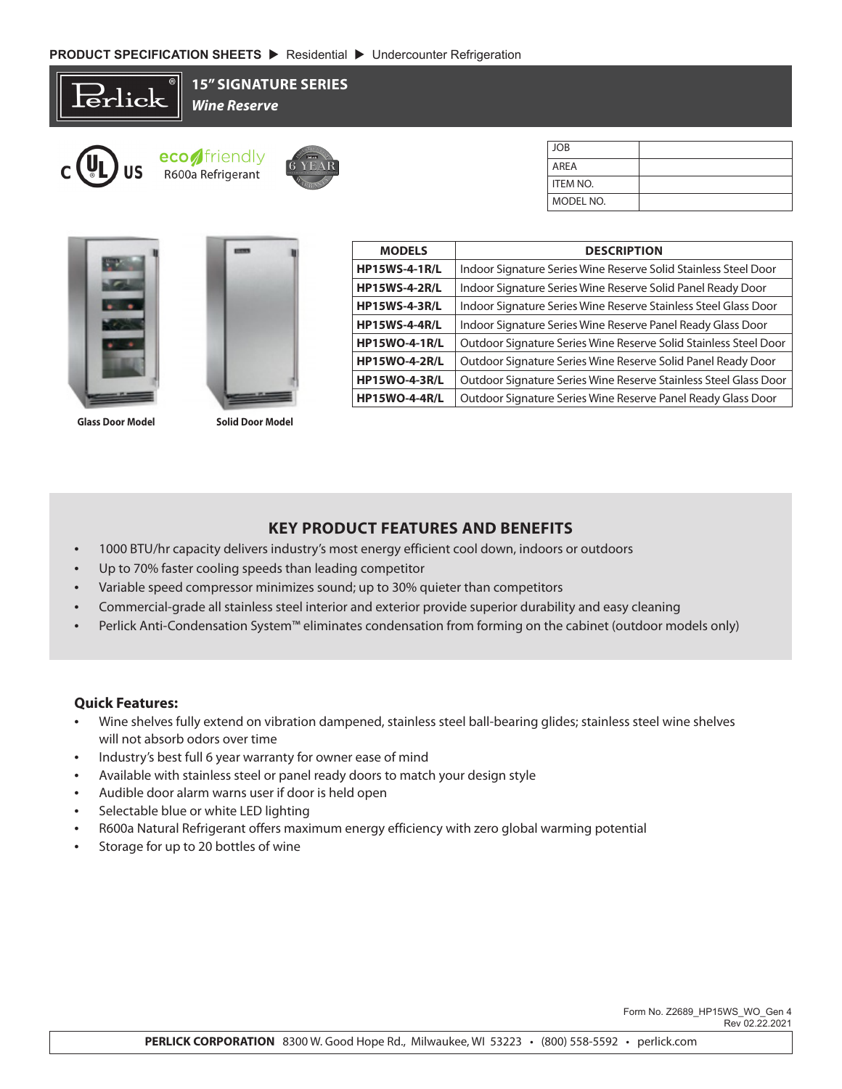**15" SIGNATURE SERIES**

Erlick



*Wine Reserve*



| JOB             |  |
|-----------------|--|
| <b>AREA</b>     |  |
| <b>ITEM NO.</b> |  |
| MODEL NO.       |  |





**Glass Door Model Solid Door Model**

| <b>MODELS</b>        | <b>DESCRIPTION</b>                                               |  |  |
|----------------------|------------------------------------------------------------------|--|--|
| <b>HP15WS-4-1R/L</b> | Indoor Signature Series Wine Reserve Solid Stainless Steel Door  |  |  |
| <b>HP15WS-4-2R/L</b> | Indoor Signature Series Wine Reserve Solid Panel Ready Door      |  |  |
| <b>HP15WS-4-3R/L</b> | Indoor Signature Series Wine Reserve Stainless Steel Glass Door  |  |  |
| <b>HP15WS-4-4R/L</b> | Indoor Signature Series Wine Reserve Panel Ready Glass Door      |  |  |
| <b>HP15WO-4-1R/L</b> | Outdoor Signature Series Wine Reserve Solid Stainless Steel Door |  |  |
| <b>HP15WO-4-2R/L</b> | Outdoor Signature Series Wine Reserve Solid Panel Ready Door     |  |  |
| <b>HP15WO-4-3R/L</b> | Outdoor Signature Series Wine Reserve Stainless Steel Glass Door |  |  |
| <b>HP15WO-4-4R/L</b> | Outdoor Signature Series Wine Reserve Panel Ready Glass Door     |  |  |

## **KEY PRODUCT FEATURES AND BENEFITS**

- 1000 BTU/hr capacity delivers industry's most energy efficient cool down, indoors or outdoors
- Up to 70% faster cooling speeds than leading competitor
- Variable speed compressor minimizes sound; up to 30% quieter than competitors
- Commercial-grade all stainless steel interior and exterior provide superior durability and easy cleaning
- Perlick Anti-Condensation System™ eliminates condensation from forming on the cabinet (outdoor models only)

## **Quick Features:**

- Wine shelves fully extend on vibration dampened, stainless steel ball-bearing glides; stainless steel wine shelves will not absorb odors over time
- Industry's best full 6 year warranty for owner ease of mind
- Available with stainless steel or panel ready doors to match your design style
- Audible door alarm warns user if door is held open
- Selectable blue or white LED lighting
- R600a Natural Refrigerant offers maximum energy efficiency with zero global warming potential
- Storage for up to 20 bottles of wine

 Form No. Z2689\_HP15WS\_WO\_Gen 4 Rev 02.22.2021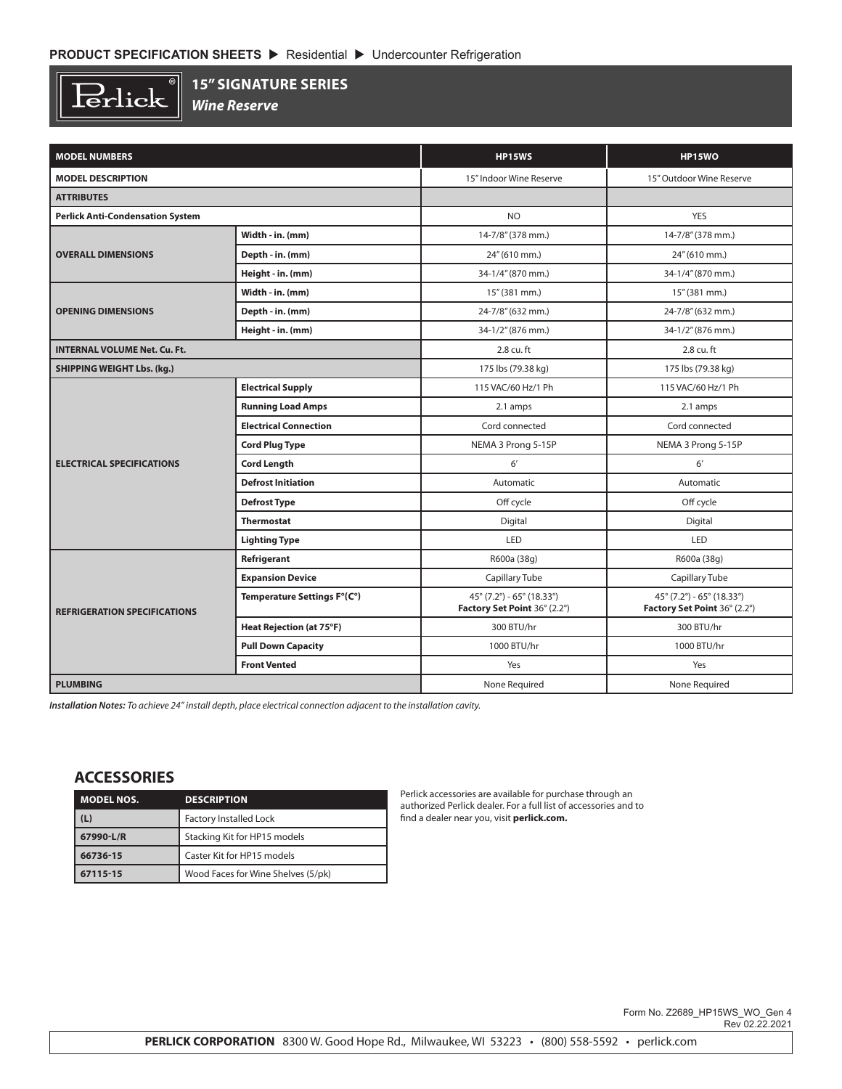$\overline{\mathbb{R}}$  $\operatorname{Perlick}$ 

## **15" SIGNATURE SERIES**

*Wine Reserve*

| <b>MODEL NUMBERS</b>                    |                                 | <b>HP15WS</b>                                                      | <b>HP15WO</b>                                                      |
|-----------------------------------------|---------------------------------|--------------------------------------------------------------------|--------------------------------------------------------------------|
| <b>MODEL DESCRIPTION</b>                |                                 | 15" Indoor Wine Reserve                                            | 15" Outdoor Wine Reserve                                           |
| <b>ATTRIBUTES</b>                       |                                 |                                                                    |                                                                    |
| <b>Perlick Anti-Condensation System</b> |                                 | <b>NO</b>                                                          | <b>YES</b>                                                         |
|                                         | Width - in. (mm)                | 14-7/8" (378 mm.)                                                  | 14-7/8" (378 mm.)                                                  |
| <b>OVERALL DIMENSIONS</b>               | Depth - in. (mm)                | 24" (610 mm.)                                                      | 24" (610 mm.)                                                      |
|                                         | Height - in. (mm)               | 34-1/4" (870 mm.)                                                  | 34-1/4" (870 mm.)                                                  |
| <b>OPENING DIMENSIONS</b>               | Width - in. (mm)                | 15" (381 mm.)                                                      | 15" (381 mm.)                                                      |
|                                         | Depth - in. (mm)                | 24-7/8" (632 mm.)                                                  | 24-7/8" (632 mm.)                                                  |
|                                         | Height - in. (mm)               | 34-1/2" (876 mm.)                                                  | 34-1/2" (876 mm.)                                                  |
| <b>INTERNAL VOLUME Net. Cu. Ft.</b>     |                                 | 2.8 cu. ft                                                         | 2.8 cu. ft                                                         |
| <b>SHIPPING WEIGHT Lbs. (kg.)</b>       |                                 | 175 lbs (79.38 kg)                                                 | 175 lbs (79.38 kg)                                                 |
|                                         | <b>Electrical Supply</b>        | 115 VAC/60 Hz/1 Ph                                                 | 115 VAC/60 Hz/1 Ph                                                 |
| <b>ELECTRICAL SPECIFICATIONS</b>        | <b>Running Load Amps</b>        | 2.1 amps                                                           | 2.1 amps                                                           |
|                                         | <b>Electrical Connection</b>    | Cord connected                                                     | Cord connected                                                     |
|                                         | <b>Cord Plug Type</b>           | NEMA 3 Prong 5-15P                                                 | NEMA 3 Prong 5-15P                                                 |
|                                         | <b>Cord Length</b>              | 6'                                                                 | 6'                                                                 |
|                                         | <b>Defrost Initiation</b>       | Automatic                                                          | Automatic                                                          |
|                                         | <b>Defrost Type</b>             | Off cycle                                                          | Off cycle                                                          |
|                                         | <b>Thermostat</b>               | Digital                                                            | Digital                                                            |
|                                         | <b>Lighting Type</b>            | LED                                                                | <b>LED</b>                                                         |
| <b>REFRIGERATION SPECIFICATIONS</b>     | Refrigerant                     | R600a (38g)                                                        | R600a (38g)                                                        |
|                                         | <b>Expansion Device</b>         | Capillary Tube                                                     | Capillary Tube                                                     |
|                                         | Temperature Settings F°(C°)     | $45^{\circ}$ (7.2°) - 65° (18.33°)<br>Factory Set Point 36° (2.2°) | $45^{\circ}$ (7.2°) - 65° (18.33°)<br>Factory Set Point 36° (2.2°) |
|                                         | <b>Heat Rejection (at 75°F)</b> | 300 BTU/hr                                                         | 300 BTU/hr                                                         |
|                                         | <b>Pull Down Capacity</b>       | 1000 BTU/hr                                                        | 1000 BTU/hr                                                        |
|                                         | <b>Front Vented</b>             | Yes                                                                | Yes                                                                |
| <b>PLUMBING</b>                         |                                 | None Required                                                      | None Required                                                      |

*Installation Notes: To achieve 24" install depth, place electrical connection adjacent to the installation cavity.*

## **ACCESSORIES**

| <b>MODEL NOS.</b> | <b>DESCRIPTION</b>                 |
|-------------------|------------------------------------|
| (L)               | <b>Factory Installed Lock</b>      |
| 67990-L/R         | Stacking Kit for HP15 models       |
| 66736-15          | Caster Kit for HP15 models         |
| 67115-15          | Wood Faces for Wine Shelves (5/pk) |

Perlick accessories are available for purchase through an authorized Perlick dealer. For a full list of accessories and to find a dealer near you, visit **perlick.com.**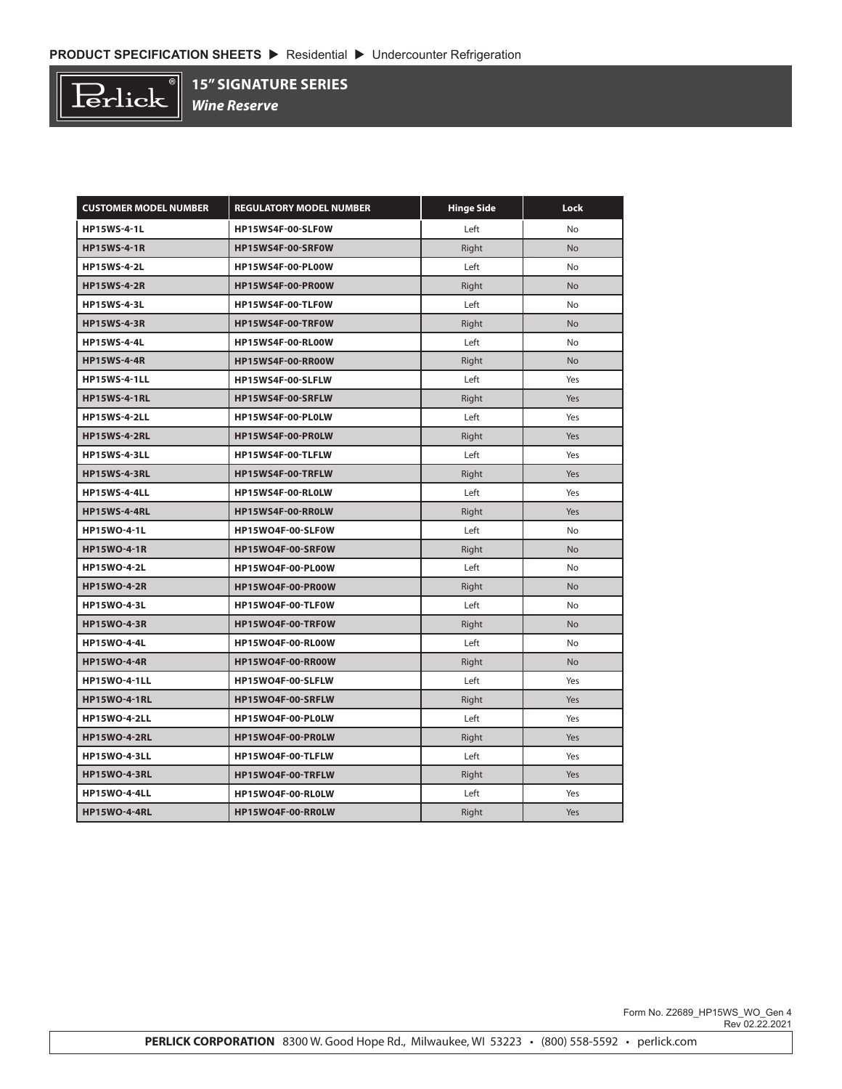

**15" SIGNATURE SERIES**

*Wine Reserve*

| <b>CUSTOMER MODEL NUMBER</b> | <b>REGULATORY MODEL NUMBER</b> | <b>Hinge Side</b> | Lock      |
|------------------------------|--------------------------------|-------------------|-----------|
| <b>HP15WS-4-1L</b>           | HP15WS4F-00-SLF0W              | Left              | No        |
| <b>HP15WS-4-1R</b>           | HP15WS4F-00-SRF0W              | Right             | <b>No</b> |
| <b>HP15WS-4-2L</b>           | HP15WS4F-00-PL00W              | Left              | No        |
| <b>HP15WS-4-2R</b>           | HP15WS4F-00-PR00W              | Right             | <b>No</b> |
| <b>HP15WS-4-3L</b>           | HP15WS4F-00-TLF0W              | Left              | No        |
| <b>HP15WS-4-3R</b>           | HP15WS4F-00-TRF0W              | Right             | <b>No</b> |
| <b>HP15WS-4-4L</b>           | HP15WS4F-00-RL00W              | Left              | No        |
| <b>HP15WS-4-4R</b>           | HP15WS4F-00-RR00W              | Right             | <b>No</b> |
| <b>HP15WS-4-1LL</b>          | HP15WS4F-00-SLFLW              | Left              | Yes       |
| <b>HP15WS-4-1RL</b>          | HP15WS4F-00-SRFLW              | Right             | Yes       |
| <b>HP15WS-4-2LL</b>          | HP15WS4F-00-PL0LW              | Left              | Yes       |
| <b>HP15WS-4-2RL</b>          | HP15WS4F-00-PR0LW              | Right             | Yes       |
| <b>HP15WS-4-3LL</b>          | HP15WS4F-00-TLFLW              | Left              | Yes       |
| <b>HP15WS-4-3RL</b>          | HP15WS4F-00-TRFLW              | Right             | Yes       |
| <b>HP15WS-4-4LL</b>          | HP15WS4F-00-RL0LW              | Left              | Yes       |
| <b>HP15WS-4-4RL</b>          | HP15WS4F-00-RROLW              | Right             | Yes       |
| <b>HP15WO-4-1L</b>           | HP15WO4F-00-SLF0W              | Left              | <b>No</b> |
| <b>HP15WO-4-1R</b>           | HP15WO4F-00-SRF0W              | Right             | <b>No</b> |
| <b>HP15WO-4-2L</b>           | HP15WO4F-00-PL00W              | Left              | No        |
| <b>HP15WO-4-2R</b>           | HP15WO4F-00-PR00W              | Right             | <b>No</b> |
| <b>HP15WO-4-3L</b>           | HP15WO4F-00-TLF0W              | Left              | No        |
| <b>HP15WO-4-3R</b>           | HP15WO4F-00-TRF0W              | Right             | <b>No</b> |
| <b>HP15WO-4-4L</b>           | HP15WO4F-00-RL00W              | Left              | No        |
| <b>HP15WO-4-4R</b>           | HP15WO4F-00-RR00W              | Right             | <b>No</b> |
| <b>HP15WO-4-1LL</b>          | HP15WO4F-00-SLFLW              | Left              | Yes       |
| <b>HP15WO-4-1RL</b>          | HP15WO4F-00-SRFLW              | Right             | Yes       |
| <b>HP15WO-4-2LL</b>          | HP15WO4F-00-PL0LW              | Left              | Yes       |
| <b>HP15WO-4-2RL</b>          | HP15WO4F-00-PR0LW              | Right             | Yes       |
| <b>HP15WO-4-3LL</b>          | HP15WO4F-00-TLFLW              | Left              | Yes       |
| <b>HP15WO-4-3RL</b>          | HP15WO4F-00-TRFLW              | Right             | Yes       |
| <b>HP15WO-4-4LL</b>          | HP15WO4F-00-RL0LW              | Left              | Yes       |
| <b>HP15WO-4-4RL</b>          | HP15WO4F-00-RR0LW              | Right             | Yes       |

 Form No. Z2689\_HP15WS\_WO\_Gen 4 Rev 02.22.2021